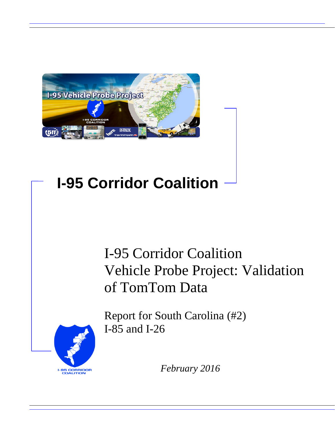

# **I-95 Corridor Coalition**

# I-95 Corridor Coalition Vehicle Probe Project: Validation of TomTom Data



Report for South Carolina (#2) I-85 and I-26

*February 2016*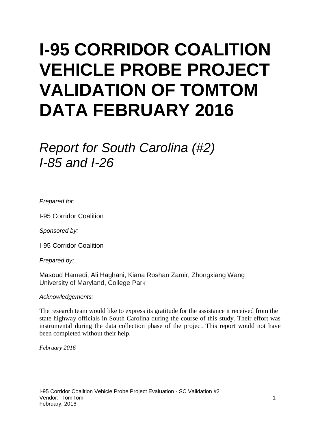# **I-95 CORRIDOR COALITION VEHICLE PROBE PROJECT VALIDATION OF TOMTOM DATA FEBRUARY 2016**

# *Report for South Carolina (#2) I-85 and I-26*

*Prepared for:*

I-95 Corridor Coalition

*Sponsored by:*

I-95 Corridor Coalition

*Prepared by:*

Masoud Hamedi, Ali Haghani, Kiana Roshan Zamir, Zhongxiang Wang University of Maryland, College Park

#### *Acknowledgements:*

The research team would like to express its gratitude for the assistance it received from the state highway officials in South Carolina during the course of this study. Their effort was instrumental during the data collection phase of the project. This report would not have been completed without their help.

*February 2016*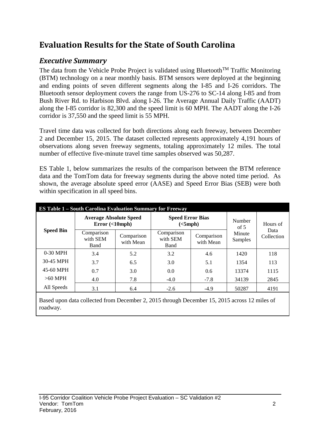## **Evaluation Results for the State of South Carolina**

## *Executive Summary*

The data from the Vehicle Probe Project is validated using Bluetooth<sup>TM</sup> Traffic Monitoring (BTM) technology on a near monthly basis. BTM sensors were deployed at the beginning and ending points of seven different segments along the I-85 and I-26 corridors. The Bluetooth sensor deployment covers the range from US-276 to SC-14 along I-85 and from Bush River Rd. to Harbison Blvd. along I-26. The Average Annual Daily Traffic (AADT) along the I-85 corridor is 82,300 and the speed limit is 60 MPH. The AADT along the I-26 corridor is 37,550 and the speed limit is 55 MPH.

Travel time data was collected for both directions along each freeway, between December 2 and December 15, 2015. The dataset collected represents approximately 4,191 hours of observations along seven freeway segments, totaling approximately 12 miles. The total number of effective five-minute travel time samples observed was 50,287.

ES Table 1, below summarizes the results of the comparison between the BTM reference data and the TomTom data for freeway segments during the above noted time period. As shown, the average absolute speed error (AASE) and Speed Error Bias (SEB) were both within specification in all speed bins.

| <b>ES Table 1 – South Carolina Evaluation Summary for Freeway</b> |                                            |                         |                                                                  |        |                   |                    |  |  |  |
|-------------------------------------------------------------------|--------------------------------------------|-------------------------|------------------------------------------------------------------|--------|-------------------|--------------------|--|--|--|
| <b>Speed Bin</b>                                                  | <b>Average Absolute Speed</b><br>Error(<10 |                         | <b>Speed Error Bias</b><br>(<5 mph)                              |        | Number<br>of $5$  | Hours of           |  |  |  |
|                                                                   | Comparison<br>with SEM<br>Band             | Comparison<br>with Mean | Comparison<br>Comparison<br>with SEM<br>with Mean<br><b>Band</b> |        | Minute<br>Samples | Data<br>Collection |  |  |  |
| $0-30$ MPH                                                        | 3.4                                        | 5.2                     | 3.2                                                              | 4.6    | 1420              | 118                |  |  |  |
| 30-45 MPH                                                         | 3.7                                        | 6.5                     | 3.0                                                              | 5.1    | 1354              | 113                |  |  |  |
| 45-60 MPH                                                         | 0.7                                        | 3.0                     | 0.0                                                              | 0.6    | 13374             | 1115               |  |  |  |
| $>60$ MPH                                                         | 7.8<br>4.0                                 |                         | $-4.0$                                                           | $-7.8$ | 34139             | 2845               |  |  |  |
| All Speeds                                                        | 3.1                                        | 6.4                     | $-2.6$                                                           | $-4.9$ | 50287             | 4191               |  |  |  |

Based upon data collected from December 2, 2015 through December 15, 2015 across 12 miles of roadway.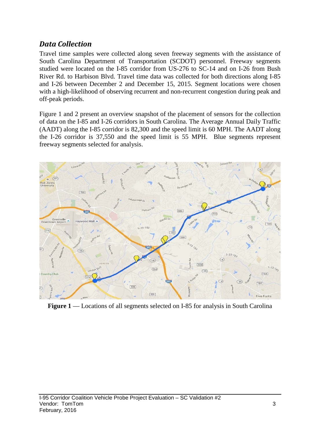### *Data Collection*

Travel time samples were collected along seven freeway segments with the assistance of South Carolina Department of Transportation (SCDOT) personnel. Freeway segments studied were located on the I-85 corridor from US-276 to SC-14 and on I-26 from Bush River Rd. to Harbison Blvd. Travel time data was collected for both directions along I-85 and I-26 between December 2 and December 15, 2015. Segment locations were chosen with a high-likelihood of observing recurrent and non-recurrent congestion during peak and off-peak periods.

Figure 1 and 2 present an overview snapshot of the placement of sensors for the collection of data on the I-85 and I-26 corridors in South Carolina. The Average Annual Daily Traffic (AADT) along the I-85 corridor is 82,300 and the speed limit is 60 MPH. The AADT along the I-26 corridor is 37,550 and the speed limit is 55 MPH. Blue segments represent freeway segments selected for analysis.



**Figure 1** — Locations of all segments selected on I-85 for analysis in South Carolina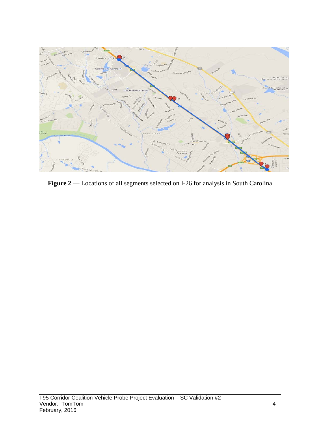

**Figure 2** –– Locations of all segments selected on I-26 for analysis in South Carolina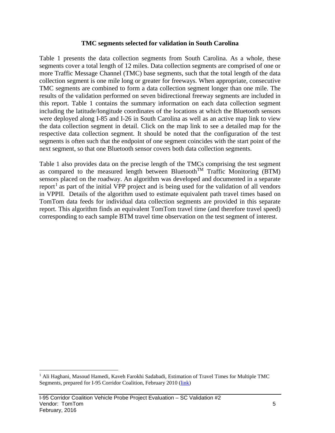#### **TMC segments selected for validation in South Carolina**

Table 1 presents the data collection segments from South Carolina. As a whole, these segments cover a total length of 12 miles. Data collection segments are comprised of one or more Traffic Message Channel (TMC) base segments, such that the total length of the data collection segment is one mile long or greater for freeways. When appropriate, consecutive TMC segments are combined to form a data collection segment longer than one mile. The results of the validation performed on seven bidirectional freeway segments are included in this report. Table 1 contains the summary information on each data collection segment including the latitude/longitude coordinates of the locations at which the Bluetooth sensors were deployed along I-85 and I-26 in South Carolina as well as an active map link to view the data collection segment in detail. Click on the map link to see a detailed map for the respective data collection segment. It should be noted that the configuration of the test segments is often such that the endpoint of one segment coincides with the start point of the next segment, so that one Bluetooth sensor covers both data collection segments.

Table 1 also provides data on the precise length of the TMCs comprising the test segment as compared to the measured length between Bluetooth<sup>TM</sup> Traffic Monitoring (BTM) sensors placed on the roadway. An algorithm was developed and documented in a separate report<sup>[1](#page-5-0)</sup> as part of the initial VPP project and is being used for the validation of all vendors in VPPII. Details of the algorithm used to estimate equivalent path travel times based on TomTom data feeds for individual data collection segments are provided in this separate report. This algorithm finds an equivalent TomTom travel time (and therefore travel speed) corresponding to each sample BTM travel time observation on the test segment of interest.

<span id="page-5-0"></span><sup>&</sup>lt;sup>1</sup> Ali Haghani, Masoud Hamedi, Kaveh Farokhi Sadabadi, Estimation of Travel Times for Multiple TMC Segments, prepared for I-95 Corridor Coalition, February 2010 [\(link\)](http://www.i95coalition.org/wp-content/uploads/2015/02/I-95-CC-Estimation-of-Travel-Times-for-Multiple-TMC-Segments-FINAL2.pdf)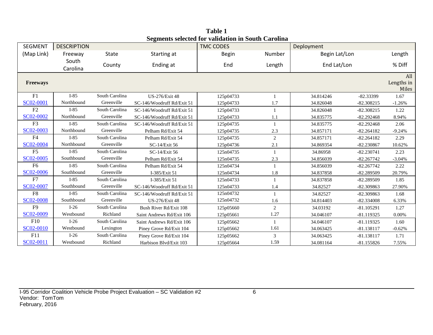| SEGMENT         | <b>DESCRIPTION</b> |                |                            | редисны эсксиса тог танаанон нгроат сагонна<br><b>TMC CODES</b> |              | Deployment    |              |                     |
|-----------------|--------------------|----------------|----------------------------|-----------------------------------------------------------------|--------------|---------------|--------------|---------------------|
| (Map Link)      | Freeway            | <b>State</b>   | Starting at                | <b>Begin</b>                                                    | Number       | Begin Lat/Lon |              | Length              |
|                 | South              |                |                            |                                                                 |              |               |              |                     |
|                 | Carolina           | County         | Ending at                  | End                                                             | Length       | End Lat/Lon   |              | % Diff              |
|                 |                    |                |                            |                                                                 |              |               |              | All                 |
| <b>Freeways</b> |                    |                |                            |                                                                 |              |               |              | Lengths in<br>Miles |
| F1              | $I-85$             | South Carolina | <b>US-276/Exit 48</b>      | 125p04733                                                       |              | 34.814246     | $-82.33399$  | 1.67                |
| SC02-0001       | Northbound         | Greenville     | SC-146/Woodruff Rd/Exit 51 | 125p04733                                                       | 1.7          | 34.826048     | $-82.308215$ | $-1.26%$            |
| F2              | $I-85$             | South Carolina | SC-146/Woodruff Rd/Exit 51 | 125p04733                                                       |              | 34.826048     | $-82.308215$ | 1.22                |
| SC02-0002       | Northbound         | Greenville     | SC-146/Woodruff Rd/Exit 51 | 125p04733                                                       | 1.1          | 34.835775     | $-82.292468$ | 8.94%               |
| F <sub>3</sub>  | $I-85$             | South Carolina | SC-146/Woodruff Rd/Exit 51 | 125p04735                                                       | -1           | 34.835775     | $-82.292468$ | 2.06                |
| SC02-0003       | Northbound         | Greenville     | Pelham Rd/Exit 54          | 125p04735                                                       | 2.3          | 34.857171     | $-82.264182$ | $-9.24%$            |
| F <sub>4</sub>  | $I-85$             | South Carolina | Pelham Rd/Exit 54          | 125p04735                                                       | 2            | 34.857171     | $-82.264182$ | 2.29                |
| SC02-0004       | Northbound         | Greenville     | SC-14/Exit 56              | 125p04736                                                       | 2.1          | 34.869354     | $-82.230867$ | 10.62%              |
| F <sub>5</sub>  | $I-85$             | South Carolina | SC-14/Exit 56              | 125n04735                                                       | $\mathbf{1}$ | 34.86958      | $-82.230741$ | 2.23                |
| SC02-0005       | Southbound         | Greenville     | Pelham Rd/Exit 54          | 125n04735                                                       | 2.3          | 34.856039     | $-82.267742$ | $-3.04%$            |
| F <sub>6</sub>  | $I-85$             | South Carolina | Pelham Rd/Exit 54          | 125n04734                                                       | $\mathbf{1}$ | 34.856039     | $-82.267742$ | 2.22                |
| SC02-0006       | Southbound         | Greenville     | I-385/Exit 51              | 125n04734                                                       | 1.8          | 34.837858     | $-82.289509$ | 20.79%              |
| F7              | $I-85$             | South Carolina | I-385/Exit 51              | 125n04733                                                       | $\mathbf{1}$ | 34.837858     | $-82.289509$ | 1.85                |
| SC02-0007       | Southbound         | Greenville     | SC-146/Woodruff Rd/Exit 51 | 125n04733                                                       | 1.4          | 34.82527      | -82.309863   | 27.90%              |
| F <sub>8</sub>  | $I-85$             | South Carolina | SC-146/Woodruff Rd/Exit 51 | 125n04732                                                       | 1            | 34.82527      | -82.309863   | 1.68                |
| SC02-0008       | Southbound         | Greenville     | <b>US-276/Exit 48</b>      | 125n04732                                                       | 1.6          | 34.814403     | -82.334008   | 6.33%               |
| F <sub>9</sub>  | $I-26$             | South Carolina | Bush River Rd/Exit 108     | 125p05660                                                       | 2            | 34.03192      | $-81.105291$ | 1.27                |
| SC02-0009       | Westbound          | Richland       | Saint Andrews Rd/Exit 106  | 125p05661                                                       | 1.27         | 34.046107     | $-81.119325$ | 0.00%               |
| F10             | $I-26$             | South Carolina | Saint Andrews Rd/Exit 106  | 125p05662                                                       | 1            | 34.046107     | $-81.119325$ | 1.60                |
| SC02-0010       | Westbound          | Lexington      | Piney Grove Rd/Exit 104    | 125p05662                                                       | 1.61         | 34.063425     | $-81.138117$ | $-0.62%$            |
| F11             | $I-26$             | South Carolina | Piney Grove Rd/Exit 104    | 125p05662                                                       | 3            | 34.063425     | $-81.138117$ | 1.71                |
| SC02-0011       | Westbound          | Richland       | Harbison Blvd/Exit 103     | 125p05664                                                       | 1.59         | 34.081164     | $-81.155826$ | 7.55%               |

**Table 1 Segments selected for validation in South Carolina**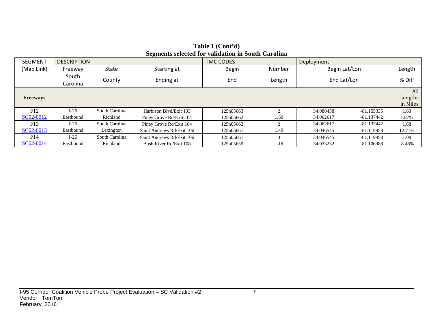| <b>SEGMENT</b>  | <b>DESCRIPTION</b> |                      | ~~ <del>~</del> ~~~~~~    | <b>TMC CODES</b> |                               | Deployment    |              |                            |
|-----------------|--------------------|----------------------|---------------------------|------------------|-------------------------------|---------------|--------------|----------------------------|
| (Map Link)      | Freeway            | State<br>Starting at |                           | <b>Begin</b>     | Number                        | Begin Lat/Lon |              | Length                     |
|                 | South<br>Carolina  | County               | Ending at                 | End              | Length                        | End Lat/Lon   |              | % Diff                     |
| <b>Freeways</b> |                    |                      |                           |                  |                               |               |              | All<br>Lengths<br>in Miles |
| F12             | $I-26$             | South Carolina       | Harbison Blvd/Exit 103    | 125n05663        | $\sim$                        | 34.080458     | $-81.155335$ | 1.63                       |
| SC02-0012       | Eastbound          | Richland             | Piney Grove Rd/Exit 104   | 125n05662        | 1.60                          | 34.062617     | -81.137442   | 1.87%                      |
| F13             | $I-26$             | South Carolina       | Piney Grove Rd/Exit 104   | 125n05662        | $\mathfrak{D}_{\mathfrak{p}}$ | 34.062617     | $-81.137442$ | 1.68                       |
| SC02-0013       | Eastbound          | Lexington            | Saint Andrews Rd/Exit 106 | 125n05661        | 1.49                          | 34.046545     | $-81.119958$ | 12.71%                     |
| F14             | $I-26$             | South Carolina       | Saint Andrews Rd/Exit 106 | 125n05661        | 3                             | 34.046545     | $-81.119958$ | 1.08                       |
| SC02-0014       | Eastbound          | Richland             | Bush River Rd/Exit 108    | 125n05659        | 1.18                          | 34.033232     | -81.106988   | -8.46%                     |

#### **Table 1 (Cont'd) Segments selected for validation in South Carolina**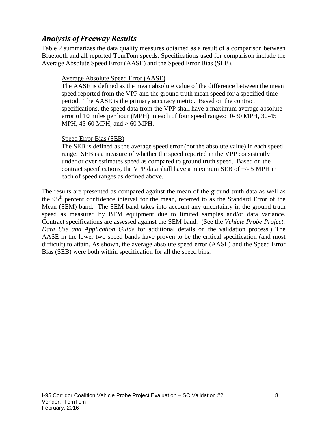### *Analysis of Freeway Results*

Table 2 summarizes the data quality measures obtained as a result of a comparison between Bluetooth and all reported TomTom speeds. Specifications used for comparison include the Average Absolute Speed Error (AASE) and the Speed Error Bias (SEB).

#### Average Absolute Speed Error (AASE)

The AASE is defined as the mean absolute value of the difference between the mean speed reported from the VPP and the ground truth mean speed for a specified time period. The AASE is the primary accuracy metric. Based on the contract specifications, the speed data from the VPP shall have a maximum average absolute error of 10 miles per hour (MPH) in each of four speed ranges: 0-30 MPH, 30-45 MPH, 45-60 MPH, and > 60 MPH.

#### Speed Error Bias (SEB)

The SEB is defined as the average speed error (not the absolute value) in each speed range. SEB is a measure of whether the speed reported in the VPP consistently under or over estimates speed as compared to ground truth speed. Based on the contract specifications, the VPP data shall have a maximum SEB of +/- 5 MPH in each of speed ranges as defined above.

The results are presented as compared against the mean of the ground truth data as well as the 95th percent confidence interval for the mean, referred to as the Standard Error of the Mean (SEM) band. The SEM band takes into account any uncertainty in the ground truth speed as measured by BTM equipment due to limited samples and/or data variance. Contract specifications are assessed against the SEM band. (See the *Vehicle Probe Project: Data Use and Application Guide* for additional details on the validation process.) The AASE in the lower two speed bands have proven to be the critical specification (and most difficult) to attain. As shown, the average absolute speed error (AASE) and the Speed Error Bias (SEB) were both within specification for all the speed bins.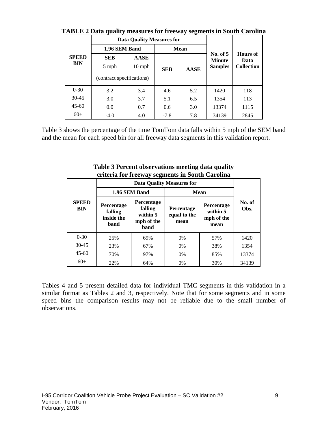|                     |                                                  | <b>Data Quality Measures for</b> |            |             |                                               |                                              |
|---------------------|--------------------------------------------------|----------------------------------|------------|-------------|-----------------------------------------------|----------------------------------------------|
|                     | 1.96 SEM Band                                    |                                  |            | <b>Mean</b> |                                               |                                              |
| <b>SPEED</b><br>BIN | <b>SEB</b><br>5 mph<br>(contract specifications) | <b>AASE</b><br>$10 \text{ mph}$  | <b>SEB</b> | <b>AASE</b> | No. of $5$<br><b>Minute</b><br><b>Samples</b> | <b>Hours</b> of<br>Data<br><b>Collection</b> |
| $0 - 30$            | 3.2                                              | 3.4                              | 4.6        | 5.2         | 1420                                          | 118                                          |
| $30-45$             | 3.0                                              | 3.7                              | 5.1        | 6.5         | 1354                                          | 113                                          |
| $45 - 60$           | 0.0                                              | 0.7                              | 0.6        | 3.0         | 13374                                         | 1115                                         |
| $60+$               | $-4.0$                                           | 4.0                              | $-7.8$     | 7.8         | 34139                                         | 2845                                         |

**TABLE 2 Data quality measures for freeway segments in South Carolina**

Table 3 shows the percentage of the time TomTom data falls within 5 mph of the SEM band and the mean for each speed bin for all freeway data segments in this validation report.

|                            | eriteria for freeway segments in bouth Carolina |                                                                |                                           |                                              |                |
|----------------------------|-------------------------------------------------|----------------------------------------------------------------|-------------------------------------------|----------------------------------------------|----------------|
|                            |                                                 |                                                                | <b>Data Quality Measures for</b>          |                                              |                |
|                            |                                                 | 1.96 SEM Band                                                  | <b>Mean</b>                               |                                              |                |
| <b>SPEED</b><br><b>BIN</b> | Percentage<br>falling<br>inside the<br>band     | <b>Percentage</b><br>falling<br>within 5<br>mph of the<br>band | <b>Percentage</b><br>equal to the<br>mean | Percentage<br>within 5<br>mph of the<br>mean | No. of<br>Obs. |
| $0 - 30$                   | 25%                                             | 69%                                                            | $0\%$                                     | 57%                                          | 1420           |
| $30 - 45$                  | 23%                                             | 67%                                                            | 0%                                        | 38%                                          | 1354           |
| $45-60$                    | 70%                                             | 97%                                                            | 0%                                        | 85%                                          | 13374          |
| $60+$                      | 22%                                             | 64%                                                            | $0\%$                                     | 30%                                          | 34139          |

**Table 3 Percent observations meeting data quality criteria for freeway segments in South Carolina**

Tables 4 and 5 present detailed data for individual TMC segments in this validation in a similar format as Tables 2 and 3, respectively. Note that for some segments and in some speed bins the comparison results may not be reliable due to the small number of observations.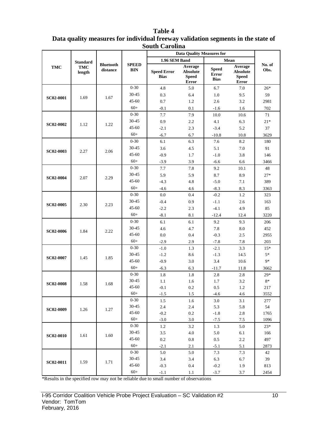|                  |                                         |                              |                            | buuu Caruma                       | <b>Data Quality Measures for</b>                    |                                             |                                                     |                |
|------------------|-----------------------------------------|------------------------------|----------------------------|-----------------------------------|-----------------------------------------------------|---------------------------------------------|-----------------------------------------------------|----------------|
|                  |                                         |                              |                            | 1.96 SEM Band                     |                                                     |                                             | Mean                                                |                |
| <b>TMC</b>       | <b>Standard</b><br><b>TMC</b><br>length | <b>Bluetooth</b><br>distance | <b>SPEED</b><br><b>BIN</b> | <b>Speed Error</b><br><b>Bias</b> | Average<br><b>Absolute</b><br><b>Speed</b><br>Error | <b>Speed</b><br><b>Error</b><br><b>Bias</b> | Average<br><b>Absolute</b><br><b>Speed</b><br>Error | No. of<br>Obs. |
|                  |                                         |                              | $0 - 30$                   | 4.8                               | 5.0                                                 | 6.7                                         | 7.0                                                 | $26*$          |
|                  |                                         |                              | $30 - 45$                  | 0.3                               | 6.4                                                 | 1.0                                         | 9.5                                                 | 59             |
| <b>SC02-0001</b> | 1.69                                    | 1.67                         | $45 - 60$                  | 0.7                               | 1.2                                                 | 2.6                                         | 3.2                                                 | 2981           |
|                  |                                         |                              | $60+$                      | $-0.1$                            | 0.1                                                 | $-1.6$                                      | 1.6                                                 | 702            |
|                  |                                         |                              | $0 - 30$                   | 7.7                               | 7.9                                                 | 10.0                                        | 10.6                                                | 71             |
|                  |                                         |                              | $30 - 45$                  | 0.9                               | 2.2                                                 | 4.1                                         | 6.3                                                 | $21*$          |
| <b>SC02-0002</b> | 1.12                                    | 1.22                         | 45-60                      | $-2.1$                            | 2.3                                                 | $-3.4$                                      | 5.2                                                 | 37             |
|                  |                                         |                              | $60+$                      | $-6.7$                            | 6.7                                                 | $-10.8$                                     | 10.8                                                | 3629           |
|                  |                                         |                              | $0 - 30$                   | 6.1                               | 6.3                                                 | 7.6                                         | 8.2                                                 | 180            |
|                  |                                         | 2.06                         | $30 - 45$                  | 3.6                               | 4.5                                                 | 5.1                                         | 7.0                                                 | 91             |
| <b>SC02-0003</b> | 2.27                                    |                              | $45 - 60$                  | $-0.9$                            | 1.7                                                 | $-1.0$                                      | 3.8                                                 | 146            |
|                  |                                         |                              | $60+$                      | $-3.9$                            | 3.9                                                 | $-6.6$                                      | 6.6                                                 | 3466           |
|                  |                                         |                              | $0 - 30$                   | 7.7                               | 7.8                                                 | 9.2                                         | 10.1                                                | 48             |
| SC02-0004        | 2.07                                    | 2.29                         | 30-45                      | 5.9                               | 5.9                                                 | 8.7                                         | 8.9                                                 | $27*$          |
|                  |                                         |                              | $45 - 60$                  | $-4.3$                            | 4.8                                                 | $-5.0$                                      | 7.1                                                 | 389            |
|                  |                                         |                              | $60+$                      | $-4.6$                            | 4.6                                                 | $-8.3$                                      | 8.3                                                 | 3363           |
|                  |                                         |                              | $0 - 30$                   | 0.0                               | 0.4                                                 | $-0.2$                                      | 1.2                                                 | 323            |
| <b>SC02-0005</b> | 2.30                                    | 2.23                         | $30 - 45$                  | $-0.4$                            | 0.9                                                 | $-1.1$                                      | 2.6                                                 | 163            |
|                  |                                         |                              | $45 - 60$                  | $-2.2$                            | 2.3                                                 | $-4.1$                                      | 4.9                                                 | 85             |
|                  |                                         |                              | $60+$                      | $-8.1$                            | 8.1                                                 | $-12.4$                                     | 12.4                                                | 3220           |
|                  |                                         |                              | $0 - 30$                   | 6.1                               | 6.1                                                 | 9.2                                         | 9.3                                                 | 206            |
| <b>SC02-0006</b> | 1.84                                    | 2.22                         | $30 - 45$                  | 4.6                               | 4.7                                                 | 7.8                                         | 8.0                                                 | 452            |
|                  |                                         |                              | $45 - 60$                  | 0.0                               | 0.4                                                 | $-0.3$                                      | 2.5                                                 | 2955           |
|                  |                                         |                              | $60+$                      | $-2.9$                            | 2.9                                                 | $-7.8$                                      | 7.8                                                 | 203            |
|                  |                                         |                              | $0 - 30$                   | $-1.0$                            | 1.3                                                 | $-2.1$                                      | 3.3                                                 | $15*$          |
| SC02-0007        | 1.45                                    | 1.85                         | $30 - 45$                  | $-1.2$                            | 8.6                                                 | $-1.3$                                      | 14.5                                                | $5*$           |
|                  |                                         |                              | $45 - 60$                  | $-0.9$                            | 3.0                                                 | 3.4                                         | 10.6                                                | 9*             |
|                  |                                         |                              | $60+$                      | $-6.3$                            | 6.3                                                 | $-11.7$                                     | 11.8                                                | 3662           |
|                  |                                         |                              | $0 - 30$                   | 1.8                               | 1.8                                                 | 2.8                                         | 2.8                                                 | $29*$          |
| <b>SC02-0008</b> | 1.58                                    | 1.68                         | 30-45                      | 1.1                               | 1.6                                                 | 1.7                                         | 3.2                                                 | $8*$           |
|                  |                                         |                              | $45 - 60$                  | $-0.1$                            | 0.2                                                 | 0.5                                         | 1.2                                                 | 217            |
|                  |                                         |                              | $60+$                      | $-1.5$                            | 1.5                                                 | $-4.6$                                      | 4.6                                                 | 3552           |
|                  |                                         |                              | $0 - 30$<br>30-45          | 1.5                               | 1.6                                                 | 3.0                                         | 3.1                                                 | 277            |
| <b>SC02-0009</b> | 1.26                                    | 1.27                         | 45-60                      | 2.4                               | 2.4                                                 | 5.3                                         | 5.8                                                 | 54             |
|                  |                                         |                              | $60+$                      | $-0.2$<br>$-3.0$                  | 0.2<br>3.0                                          | $-1.8$<br>$-7.5$                            | 2.8<br>7.5                                          | 1765<br>1096   |
|                  |                                         |                              | $0 - 30$                   | 1.2                               | 3.2                                                 | 1.3                                         | 5.0                                                 | $23*$          |
|                  |                                         |                              | 30-45                      | 3.5                               | 4.0                                                 | 5.0                                         | 6.1                                                 | 166            |
| <b>SC02-0010</b> | 1.61                                    | 1.60                         | 45-60                      | 0.2                               | 0.8                                                 | 0.5                                         | 2.2                                                 | 497            |
|                  |                                         |                              | $60+$                      | $-2.1$                            | 2.1                                                 | $-5.1$                                      | 5.1                                                 | 2873           |
|                  |                                         |                              | $0 - 30$                   | 5.0                               | 5.0                                                 | 7.3                                         | 7.3                                                 | 42             |
|                  |                                         |                              | $30 - 45$                  | 3.4                               | 3.4                                                 | 6.3                                         | 6.7                                                 | 39             |
| <b>SC02-0011</b> | 1.59                                    | 1.71                         | 45-60                      | $-0.3$                            | 0.4                                                 | $-0.2$                                      | 1.9                                                 | 813            |
|                  |                                         |                              | $60+$                      | $-1.1$                            | 1.1                                                 | $-3.7$                                      | 3.7                                                 | 2454           |

#### **Table 4 Data quality measures for individual freeway validation segments in the state of South Carolina**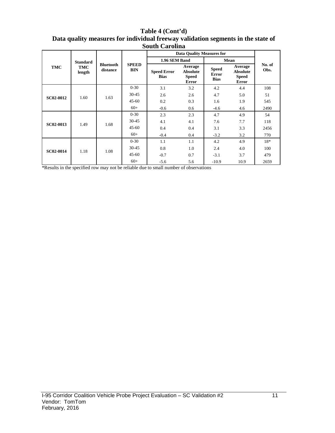#### **Table 4 (Cont'd) Data quality measures for individual freeway validation segments in the state of South Carolina**

|                  |                      |                              |                            | <b>Data Quality Measures for</b>  |                                              |                                             |                                                     |                |
|------------------|----------------------|------------------------------|----------------------------|-----------------------------------|----------------------------------------------|---------------------------------------------|-----------------------------------------------------|----------------|
|                  | <b>Standard</b>      |                              |                            | 1.96 SEM Band                     |                                              |                                             | Mean                                                |                |
| TMC              | <b>TMC</b><br>length | <b>Bluetooth</b><br>distance | <b>SPEED</b><br><b>BIN</b> | <b>Speed Error</b><br><b>Bias</b> | Average<br><b>Absolute</b><br>Speed<br>Error | <b>Speed</b><br><b>Error</b><br><b>Bias</b> | Average<br><b>Absolute</b><br><b>Speed</b><br>Error | No. of<br>Obs. |
|                  |                      |                              | $0 - 30$                   | 3.1                               | 3.2                                          | 4.2                                         | 4.4                                                 | 108            |
| <b>SC02-0012</b> | 1.60                 | 1.63                         | $30 - 45$                  | 2.6                               | 2.6                                          | 4.7                                         | 5.0                                                 | 51             |
|                  |                      |                              | $45 - 60$                  | 0.2                               | 0.3                                          | 1.6                                         | 1.9                                                 | 545            |
|                  |                      |                              | $60+$                      | $-0.6$                            | 0.6                                          | $-4.6$                                      | 4.6                                                 | 2490           |
|                  |                      | 1.68                         | $0 - 30$                   | 2.3                               | 2.3                                          | 4.7                                         | 4.9                                                 | 54             |
| <b>SC02-0013</b> | 1.49                 |                              | $30 - 45$                  | 4.1                               | 4.1                                          | 7.6                                         | 7.7                                                 | 118            |
|                  |                      |                              | $45 - 60$                  | 0.4                               | 0.4                                          | 3.1                                         | 3.3                                                 | 2456           |
|                  |                      |                              | $60+$                      | $-0.4$                            | 0.4                                          | $-3.2$                                      | 3.2                                                 | 770            |
|                  |                      |                              | $0 - 30$                   | 1.1                               | 1.1                                          | 4.2                                         | 4.9                                                 | $18*$          |
| SC02-0014        | 1.18                 | 1.08                         | $30 - 45$                  | 0.8                               | 1.0                                          | 2.4                                         | 4.0                                                 | 100            |
|                  |                      |                              | $45 - 60$                  | $-0.7$                            | 0.7                                          | $-3.1$                                      | 3.7                                                 | 479            |
|                  |                      |                              | $60+$                      | $-5.6$                            | 5.6                                          | $-10.9$                                     | 10.9                                                | 2659           |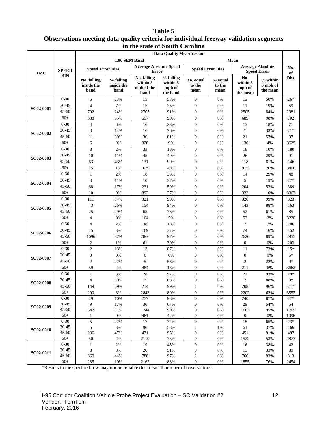#### **Table 5 Observations meeting data quality criteria for individual freeway validation segments in the state of South Carolina**

|                  |                   |                                   |                                 |                                               | <b>Data Quality Measures for</b>            |                                      |                           |                                       |                                               |               |
|------------------|-------------------|-----------------------------------|---------------------------------|-----------------------------------------------|---------------------------------------------|--------------------------------------|---------------------------|---------------------------------------|-----------------------------------------------|---------------|
|                  |                   |                                   | 1.96 SEM Band                   |                                               |                                             |                                      |                           | Mean                                  |                                               |               |
| <b>TMC</b>       | <b>SPEED</b>      | <b>Speed Error Bias</b>           |                                 | <b>Average Absolute Speed</b><br><b>Error</b> |                                             | <b>Speed Error Bias</b>              |                           |                                       | <b>Average Absolute</b><br><b>Speed Error</b> | No.<br>of     |
|                  | <b>BIN</b>        | No. falling<br>inside the<br>band | % falling<br>inside the<br>band | No. falling<br>within 5<br>mph of the<br>band | % falling<br>within 5<br>mph of<br>the band | No. equal<br>to the<br>mean          | % equal<br>to the<br>mean | No.<br>within 5<br>mph of<br>the mean | $%$ within<br>5 mph of<br>the mean            | Obs.          |
|                  | $0 - 30$          | 6                                 | 23%                             | 15                                            | 58%                                         | $\boldsymbol{0}$                     | 0%                        | 13                                    | 50%                                           | $26*$         |
| <b>SC02-0001</b> | 30-45             | 4                                 | 7%                              | 15                                            | 25%                                         | $\boldsymbol{0}$                     | 0%                        | 11                                    | 19%                                           | 59            |
|                  | $45 - 60$         | 702                               | 24%                             | 2705                                          | 91%                                         | $\boldsymbol{0}$                     | 0%                        | 2505                                  | 84%                                           | 2981          |
|                  | $60+$             | 388                               | 55%                             | 697                                           | 99%                                         | $\boldsymbol{0}$                     | 0%                        | 689                                   | 98%                                           | 702           |
|                  | $0 - 30$          | $\overline{4}$                    | 6%                              | 16                                            | 23%                                         | $\boldsymbol{0}$                     | 0%                        | 13                                    | 18%                                           | 71            |
|                  | 30-45             | 3                                 | 14%                             | 16                                            | 76%                                         | $\boldsymbol{0}$                     | $0\%$                     | 7                                     | 33%                                           | $21*$         |
| <b>SC02-0002</b> | $45 - 60$         | 11                                | 30%                             | 30                                            | 81%                                         | $\boldsymbol{0}$                     | $0\%$                     | 21                                    | 57%                                           | 37            |
|                  | $60+$             | 6                                 | 0%                              | 328                                           | 9%                                          | $\boldsymbol{0}$                     | 0%                        | 130                                   | 4%                                            | 3629          |
|                  | $0 - 30$          | 3                                 | 2%                              | 33                                            | 18%                                         | $\boldsymbol{0}$                     | 0%                        | 18                                    | 10%                                           | 180           |
|                  | 30-45             | 10                                | 11%                             | 45                                            | 49%                                         | $\boldsymbol{0}$                     | 0%                        | 26                                    | 29%                                           | 91            |
| <b>SC02-0003</b> | $45 - 60$         | 63                                | 43%                             | 131                                           | 90%                                         | $\boldsymbol{0}$                     | 0%                        | 118                                   | 81%                                           | 146           |
|                  | $60+$             | 25                                | 1%                              | 1679                                          | 48%                                         | $\boldsymbol{0}$                     | 0%                        | 915                                   | 26%                                           | 3466          |
|                  | $0 - 30$          | $\mathbf{1}$                      | 2%                              | 18                                            | 38%                                         | $\boldsymbol{0}$                     | 0%                        | 14                                    | 29%                                           | 48            |
| <b>SC02-0004</b> | 30-45             | 3                                 | 11%                             | 10                                            | 37%                                         | $\boldsymbol{0}$                     | 0%                        | 5                                     | 19%                                           | $27*$         |
|                  | $45 - 60$         | 68                                | 17%                             | 231                                           | 59%                                         | $\boldsymbol{0}$                     | 0%                        | 204                                   | 52%                                           | 389           |
|                  | $60+$             | 10                                | 0%                              | 892                                           | 27%                                         | $\overline{0}$                       | 0%                        | 322                                   | 10%                                           | 3363          |
|                  | $0 - 30$          | 111                               | 34%                             | 321                                           | 99%                                         | $\boldsymbol{0}$                     | 0%                        | 320                                   | 99%                                           | 323           |
|                  | 30-45             | 43                                | 26%                             | 154                                           | 94%                                         | $\boldsymbol{0}$                     | $0\%$                     | 143                                   | 88%                                           | 163           |
| <b>SC02-0005</b> | $45 - 60$         | 25                                | 29%                             | 65                                            | 76%                                         | $\boldsymbol{0}$                     | $0\%$                     | 52                                    | 61%                                           | 85            |
|                  | $60+$             | $\overline{4}$                    | 0%                              | 164                                           | 5%                                          | $\boldsymbol{0}$                     | 0%                        | 53                                    | 2%                                            | 3220          |
|                  | $0 - 30$          | $\overline{4}$                    | 2%                              | 38                                            | 18%                                         | $\boldsymbol{0}$                     | 0%                        | 15                                    | 7%                                            | 206           |
|                  | 30-45             | 15                                | 3%                              | 169                                           | 37%                                         | $\boldsymbol{0}$                     | 0%                        | 74                                    | 16%                                           | 452           |
| <b>SC02-0006</b> | $45 - 60$         | 1096                              | 37%                             | 2866                                          | 97%                                         | $\boldsymbol{0}$                     | 0%                        | 2626                                  | 89%                                           | 2955          |
|                  | $60+$             | $\mathfrak{2}$                    | 1%                              | 61                                            | 30%                                         | $\boldsymbol{0}$                     | 0%                        | $\boldsymbol{0}$                      | 0%                                            | 203           |
|                  | $0 - 30$          | $\overline{2}$                    | 13%                             | 13                                            | 87%                                         | $\boldsymbol{0}$                     | 0%                        | 11                                    | 73%                                           | $15*$         |
|                  | 30-45             | $\boldsymbol{0}$                  | $0\%$                           | $\boldsymbol{0}$                              | 0%                                          | $\boldsymbol{0}$                     | $0\%$                     | $\boldsymbol{0}$                      | 0%                                            | $5*$          |
| <b>SC02-0007</b> | $45 - 60$         | $\overline{c}$                    |                                 | 5                                             |                                             |                                      |                           |                                       |                                               | $9*$          |
|                  | $60+$             | 59                                | 22%                             | 484                                           | 56%                                         | $\boldsymbol{0}$<br>$\boldsymbol{0}$ | $0\%$                     | $\mathfrak{2}$                        | 22%                                           |               |
|                  | $0 - 30$          |                                   | 2%                              |                                               | 13%<br>97%                                  |                                      | 0%<br>0%                  | 211                                   | 6%                                            | 3662          |
|                  | 30-45             | $\mathbf{1}$                      | 3%                              | 28                                            |                                             | $\boldsymbol{0}$                     |                           | 27                                    | 93%                                           | $29*$<br>$8*$ |
| <b>SC02-0008</b> |                   | $\overline{4}$                    | 50%                             | $\tau$                                        | 88%                                         | $\boldsymbol{0}$                     | 0%                        | $\tau$                                | 88%                                           |               |
|                  | $45 - 60$         | 149                               | 69%                             | 214                                           | 99%                                         | 1                                    | 0%                        | 208                                   | 96%                                           | 217           |
|                  | $60+$             | 290                               | $8\%$                           | 2843                                          | 80%                                         | 0                                    | $0\%$                     | 2202                                  | 62%                                           | 3552          |
|                  | $0 - 30$<br>30-45 | 29<br>$\overline{9}$              | 10%                             | 257<br>36                                     | 93%<br>67%                                  | $\boldsymbol{0}$                     | $0\%$<br>$0\%$            | 240<br>29                             | 87%<br>54%                                    | 277<br>54     |
| <b>SC02-0009</b> | 45-60             | 542                               | 17%<br>31%                      | 1744                                          | 99%                                         | $\boldsymbol{0}$<br>$\boldsymbol{0}$ | $0\%$                     | 1683                                  | 95%                                           | 1765          |
|                  | $60+$             | $\mathbf{1}$                      | $0\%$                           | 461                                           | 42%                                         | $\boldsymbol{0}$                     | $0\%$                     | $\boldsymbol{0}$                      | $0\%$                                         | 1096          |
|                  | $0 - 30$          | 5                                 | 22%                             | 17                                            | 74%                                         | $\boldsymbol{0}$                     | $0\%$                     | 15                                    | 65%                                           | $23*$         |
|                  | 30-45             | 5                                 | $3\%$                           | 96                                            | 58%                                         | $\mathbf{1}$                         | $1\%$                     | 61                                    | 37%                                           | 166           |
| <b>SC02-0010</b> | 45-60             | 236                               | 47%                             | 471                                           | 95%                                         | $\boldsymbol{0}$                     | $0\%$                     | 451                                   | 91%                                           | 497           |
|                  | $60+$             | 50                                | 2%                              | 2110                                          | 73%                                         | $\boldsymbol{0}$                     | 0%                        | 1522                                  | 53%                                           | 2873          |
|                  | $0 - 30$          | $\mathbf{1}$                      | 2%                              | 19                                            | 45%                                         | $\boldsymbol{0}$                     | $0\%$                     | 16                                    | 38%                                           | 42            |
| SC02-0011        | 30-45             | $\mathfrak{Z}$                    | $8\%$                           | 20                                            | 51%                                         | $\boldsymbol{0}$                     | $0\%$                     | 13                                    | 33%                                           | 39            |
|                  | 45-60             | 360                               | 44%                             | 788                                           | 97%                                         | $\boldsymbol{2}$                     | $0\%$                     | 760                                   | 93%                                           | 813           |
|                  | $60+$             | 235                               | 10%                             | 2162                                          | 88%                                         | $\boldsymbol{0}$                     | 0%                        | 1855                                  | 76%                                           | 2454          |